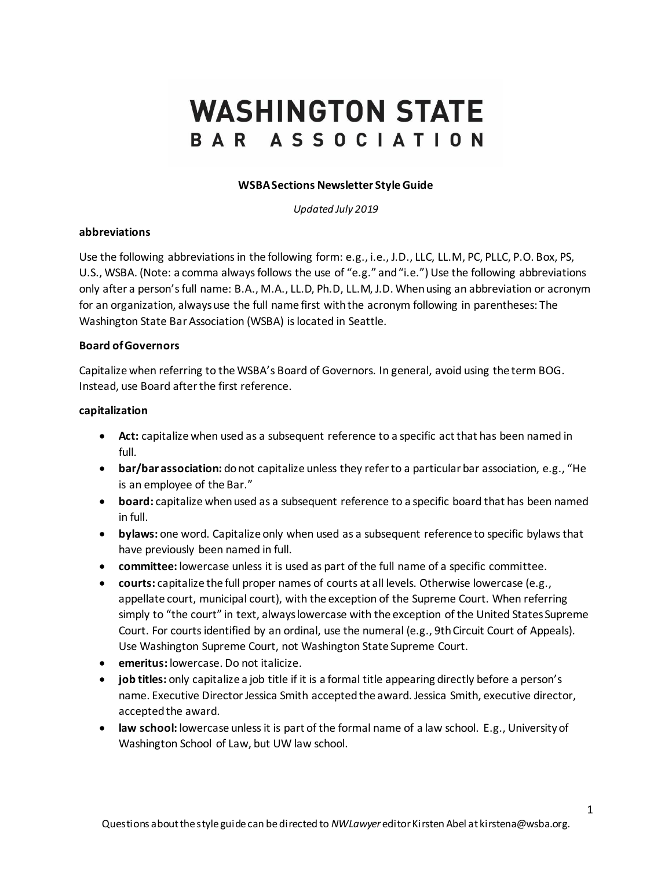# **WASHINGTON STATE** BAR ASSOCIATION

# **WSBA Sections Newsletter StyleGuide**

*Updated July 2019*

# **abbreviations**

Use the following abbreviations in the following form: e.g., i.e., J.D., LLC, LL.M, PC, PLLC, P.O. Box, PS, U.S., WSBA. (Note: a comma always follows the use of "e.g." and "i.e.") Use the following abbreviations only after a person's full name: B.A., M.A., LL.D, Ph.D, LL.M, J.D. When using an abbreviation or acronym for an organization, always use the full name first with the acronym following in parentheses: The Washington State Bar Association (WSBA) is located in Seattle.

# **Board of Governors**

Capitalize when referring to the WSBA's Board of Governors. In general, avoid using the term BOG. Instead, use Board after the first reference.

# **capitalization**

- **Act:** capitalize when used as a subsequent reference to a specific act that has been named in full.
- **bar/bar association:** do not capitalize unless they refer to a particular bar association, e.g., "He is an employee of the Bar."
- **board:** capitalize when used as a subsequent reference to a specific board that has been named in full.
- **bylaws:** one word. Capitalize only when used as a subsequent reference to specific bylaws that have previously been named in full.
- **committee:** lowercase unless it is used as part of the full name of a specific committee.
- **courts:** capitalize the full proper names of courts at all levels. Otherwise lowercase (e.g., appellate court, municipal court), with the exception of the Supreme Court. When referring simply to "the court" in text, always lowercase with the exception of the United States Supreme Court. For courts identified by an ordinal, use the numeral (e.g., 9th Circuit Court of Appeals). Use Washington Supreme Court, not Washington State Supreme Court.
- **emeritus:** lowercase. Do not italicize.
- **job titles:** only capitalize a job title if it is a formal title appearing directly before a person's name. Executive Director Jessica Smith accepted the award. Jessica Smith, executive director, accepted the award.
- **law school:** lowercase unless it is part of the formal name of a law school. E.g., University of Washington School of Law, but UW law school.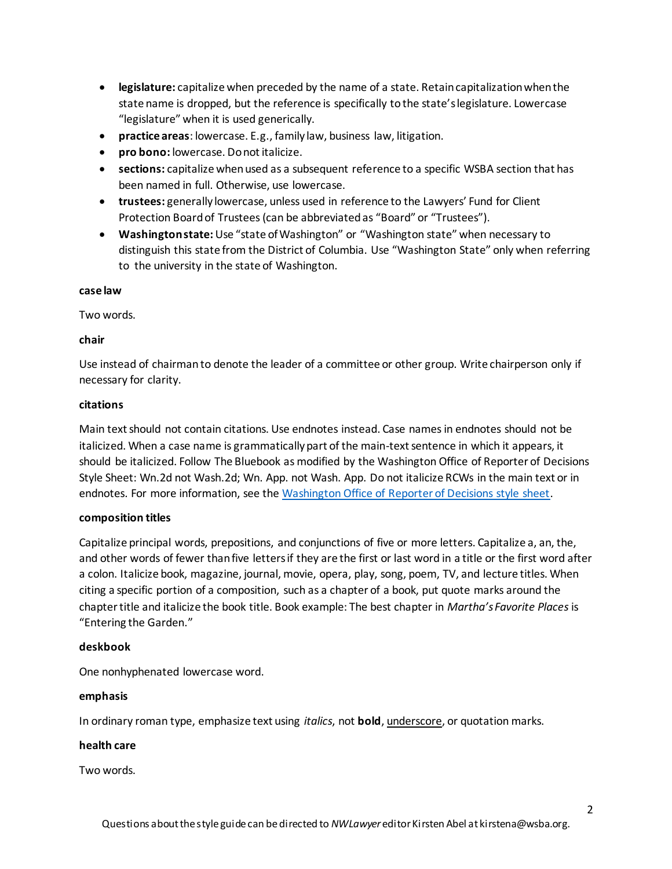- **legislature:** capitalize when preceded by the name of a state. Retain capitalization when the state name is dropped, but the reference is specifically tothe state's legislature. Lowercase "legislature" when it is used generically.
- **practice areas**: lowercase. E.g., family law, business law, litigation.
- **pro bono:** lowercase. Do not italicize.
- **sections:** capitalize when used as a subsequent reference to a specific WSBA section that has been named in full. Otherwise, use lowercase.
- **trustees:** generally lowercase, unless used in reference to the Lawyers' Fund for Client Protection Board of Trustees (can be abbreviated as "Board" or "Trustees").
- **Washington state:** Use "state of Washington" or "Washington state" when necessary to distinguish this state from the District of Columbia. Use "Washington State" only when referring to the university in the state of Washington.

# **case law**

Two words.

# **chair**

Use instead of chairman to denote the leader of a committee or other group. Write chairperson only if necessary for clarity.

# **citations**

Main text should not contain citations. Use endnotes instead. Case names in endnotes should not be italicized. When a case name is grammatically part of the main-text sentence in which it appears, it should be italicized. Follow The Bluebook as modified by the Washington Office of Reporter of Decisions Style Sheet: Wn.2d not Wash.2d; Wn. App. not Wash. App. Do not italicize RCWs in the main text or in endnotes. For more information, see th[e Washington Office of Reporter of Decisions style sheet.](https://www.courts.wa.gov/appellate_trial_courts/supreme/?fa=atc_supreme.style)

# **composition titles**

Capitalize principal words, prepositions, and conjunctions of five or more letters. Capitalize a, an, the, and other words of fewer than five letters if they are the first or last word in a title or the first word after a colon. Italicize book, magazine, journal, movie, opera, play, song, poem, TV, and lecture titles. When citing a specific portion of a composition, such as a chapter of a book, put quote marks around the chapter title and italicize the book title. Book example: The best chapter in *Martha's Favorite Places* is "Entering the Garden."

# **deskbook**

One nonhyphenated lowercase word.

# **emphasis**

In ordinary roman type, emphasize text using *italics*, not **bold**, underscore, or quotation marks.

#### **health care**

Two words.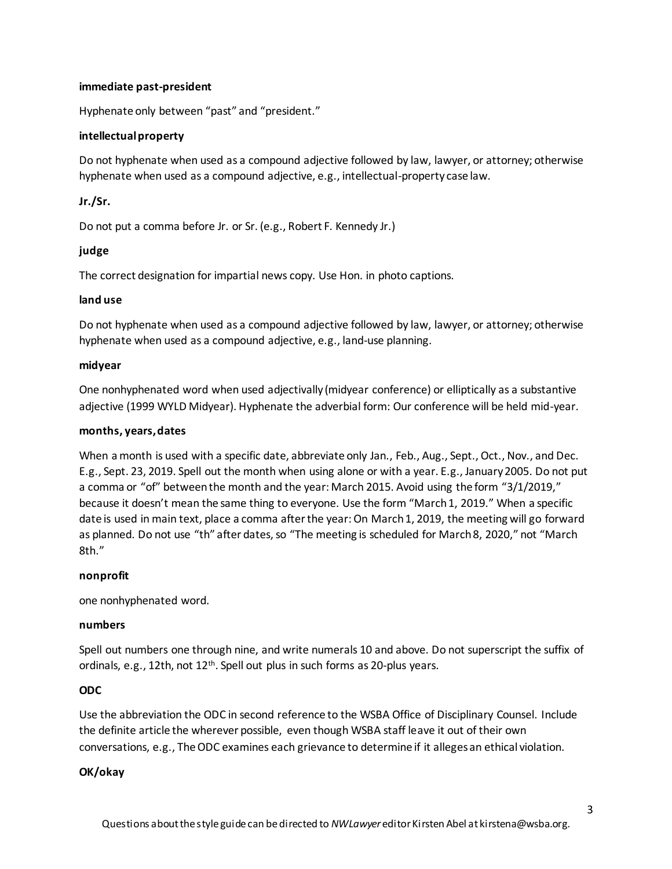# **immediate past-president**

Hyphenate only between "past" and "president."

# **intellectual property**

Do not hyphenate when used as a compound adjective followed by law, lawyer, or attorney; otherwise hyphenate when used as a compound adjective, e.g., intellectual-property case law.

# **Jr./Sr.**

Do not put a comma before Jr. or Sr. (e.g., Robert F. Kennedy Jr.)

# **judge**

The correct designation for impartial news copy. Use Hon. in photo captions.

# **land use**

Do not hyphenate when used as a compound adjective followed by law, lawyer, or attorney; otherwise hyphenate when used as a compound adjective, e.g., land-use planning.

#### **midyear**

One nonhyphenated word when used adjectivally (midyear conference) or elliptically as a substantive adjective (1999 WYLD Midyear). Hyphenate the adverbial form: Our conference will be held mid-year.

# **months, years, dates**

When a month is used with a specific date, abbreviate only Jan., Feb., Aug., Sept., Oct., Nov., and Dec. E.g., Sept. 23, 2019. Spell out the month when using alone or with a year. E.g., January 2005. Do not put a comma or "of" between the month and the year: March 2015. Avoid using the form "3/1/2019," because it doesn't mean the same thing to everyone. Use the form "March 1, 2019." When a specific date is used in main text, place a comma after the year: On March 1, 2019, the meeting will go forward as planned. Do not use "th" after dates, so "The meeting is scheduled for March 8, 2020," not "March 8th."

#### **nonprofit**

one nonhyphenated word.

#### **numbers**

Spell out numbers one through nine, and write numerals 10 and above. Do not superscript the suffix of ordinals, e.g., 12th, not 12<sup>th</sup>. Spell out plus in such forms as 20-plus years.

# **ODC**

Use the abbreviation the ODC in second reference to the WSBA Office of Disciplinary Counsel. Include the definite article the wherever possible, even though WSBA staff leave it out of their own conversations, e.g., The ODC examines each grievance to determine if it alleges an ethical violation.

#### **OK/okay**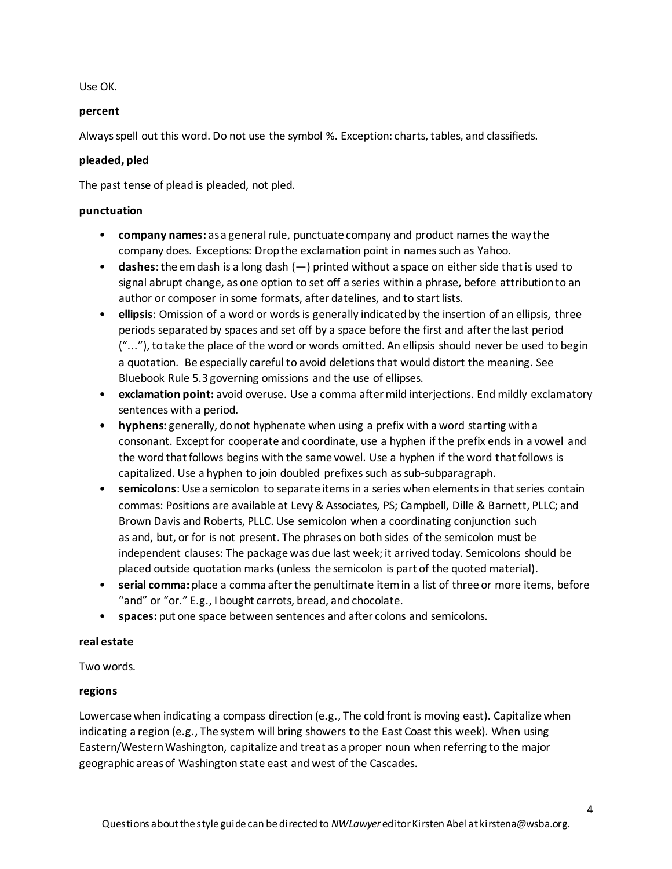Use OK.

# **percent**

Always spell out this word. Do not use the symbol %. Exception: charts, tables, and classifieds.

# **pleaded, pled**

The past tense of plead is pleaded, not pled.

# **punctuation**

- **company names:** as a general rule, punctuate company and product names the way the company does. Exceptions: Drop the exclamation point in names such as Yahoo.
- **dashes:** the em dash is a long dash (—) printed without a space on either side that is used to signal abrupt change, as one option to set off a series within a phrase, before attribution to an author or composer in some formats, after datelines, and to start lists.
- **ellipsis**: Omission of a word or words is generally indicated by the insertion of an ellipsis, three periods separated by spaces and set off by a space before the first and after the last period ("..."), to take the place of the word or words omitted. An ellipsis should never be used to begin a quotation. Be especially careful to avoid deletions that would distort the meaning. See Bluebook Rule 5.3 governing omissions and the use of ellipses.
- **exclamation point:** avoid overuse. Use a comma after mild interjections. End mildly exclamatory sentences with a period.
- **hyphens:** generally, do not hyphenate when using a prefix with a word starting with a consonant. Except for cooperate and coordinate, use a hyphen if the prefix ends in a vowel and the word that follows begins with the same vowel. Use a hyphen if the word that follows is capitalized. Use a hyphen to join doubled prefixes such as sub-subparagraph.
- **semicolons**: Use a semicolon to separate items in a series when elements in that series contain commas: Positions are available at Levy & Associates, PS; Campbell, Dille & Barnett, PLLC; and Brown Davis and Roberts, PLLC. Use semicolon when a coordinating conjunction such as and, but, or for is not present. The phrases on both sides of the semicolon must be independent clauses: The package was due last week; it arrived today. Semicolons should be placed outside quotation marks (unless the semicolon is part of the quoted material).
- **serial comma:** place a comma after the penultimate item in a list of three or more items, before "and" or "or." E.g., I bought carrots, bread, and chocolate.
- **spaces:** put one space between sentences and after colons and semicolons.

# **real estate**

Two words.

# **regions**

Lowercase when indicating a compass direction (e.g., The cold front is moving east). Capitalize when indicating a region (e.g., The system will bring showers to the East Coast this week). When using Eastern/Western Washington, capitalize and treat as a proper noun when referring to the major geographic areas of Washington state east and west of the Cascades.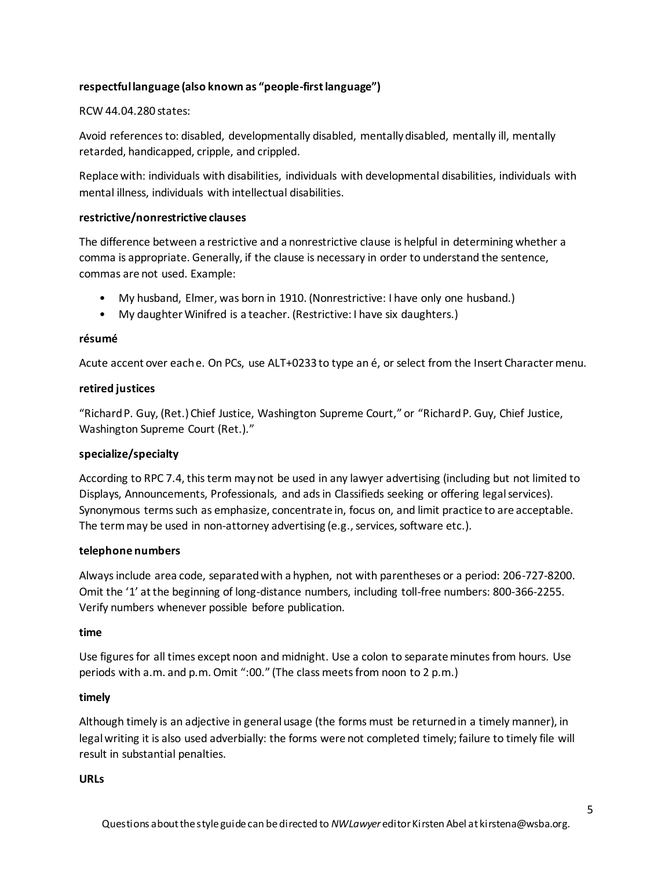# **respectful language (also known as "people-first language")**

# RCW 44.04.280 states:

Avoid references to: disabled, developmentally disabled, mentally disabled, mentally ill, mentally retarded, handicapped, cripple, and crippled.

Replace with: individuals with disabilities, individuals with developmental disabilities, individuals with mental illness, individuals with intellectual disabilities.

# **restrictive/nonrestrictive clauses**

The difference between a restrictive and a nonrestrictive clause is helpful in determining whether a comma is appropriate. Generally, if the clause is necessary in order to understand the sentence, commas are not used. Example:

- My husband, Elmer, was born in 1910. (Nonrestrictive: I have only one husband.)
- My daughter Winifred is a teacher. (Restrictive: I have six daughters.)

# **résumé**

Acute accent over each e. On PCs, use ALT+0233 to type an é, or select from the Insert Character menu.

# **retired justices**

"Richard P. Guy, (Ret.) Chief Justice, Washington Supreme Court," or "Richard P. Guy, Chief Justice, Washington Supreme Court (Ret.)."

# **specialize/specialty**

According to RPC 7.4, this term may not be used in any lawyer advertising (including but not limited to Displays, Announcements, Professionals, and ads in Classifieds seeking or offering legal services). Synonymous terms such as emphasize, concentrate in, focus on, and limit practice to are acceptable. The term may be used in non-attorney advertising (e.g., services, software etc.).

#### **telephone numbers**

Always include area code, separated with a hyphen, not with parentheses or a period: 206-727-8200. Omit the '1' at the beginning of long-distance numbers, including toll-free numbers: 800-366-2255. Verify numbers whenever possible before publication.

#### **time**

Use figures for all times except noon and midnight. Use a colon to separate minutes from hours. Use periods with a.m. and p.m. Omit ":00." (The class meets from noon to 2 p.m.)

# **timely**

Although timely is an adjective in general usage (the forms must be returned in a timely manner), in legal writing it is also used adverbially: the forms were not completed timely; failure to timely file will result in substantial penalties.

#### **URLs**